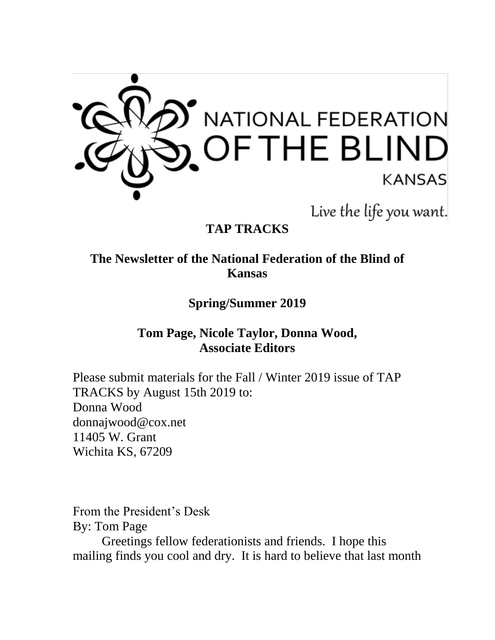

Live the life you want.

# **TAP TRACKS**

### **The Newsletter of the National Federation of the Blind of Kansas**

**Spring/Summer 2019**

### **Tom Page, Nicole Taylor, Donna Wood, Associate Editors**

Please submit materials for the Fall / Winter 2019 issue of TAP TRACKS by August 15th 2019 to: Donna Wood donnajwood@cox.net 11405 W. Grant Wichita KS, 67209

From the President's Desk By: Tom Page

Greetings fellow federationists and friends. I hope this mailing finds you cool and dry. It is hard to believe that last month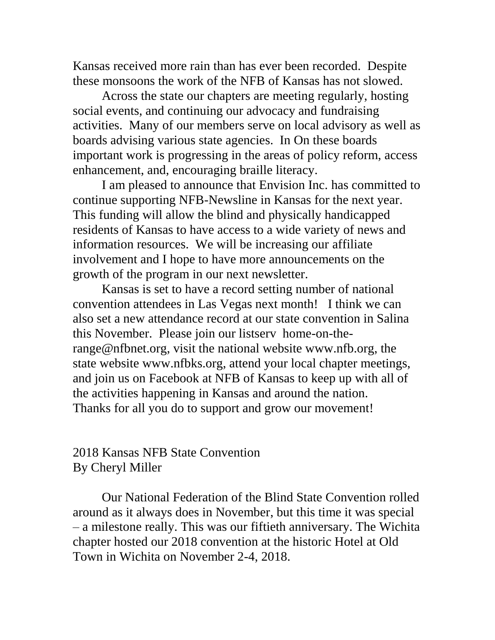Kansas received more rain than has ever been recorded. Despite these monsoons the work of the NFB of Kansas has not slowed.

Across the state our chapters are meeting regularly, hosting social events, and continuing our advocacy and fundraising activities. Many of our members serve on local advisory as well as boards advising various state agencies. In On these boards important work is progressing in the areas of policy reform, access enhancement, and, encouraging braille literacy.

I am pleased to announce that Envision Inc. has committed to continue supporting NFB-Newsline in Kansas for the next year. This funding will allow the blind and physically handicapped residents of Kansas to have access to a wide variety of news and information resources. We will be increasing our affiliate involvement and I hope to have more announcements on the growth of the program in our next newsletter.

Kansas is set to have a record setting number of national convention attendees in Las Vegas next month! I think we can also set a new attendance record at our state convention in Salina this November. Please join our listserv home-on-therange@nfbnet.org, visit the national website www.nfb.org, the state website www.nfbks.org, attend your local chapter meetings, and join us on Facebook at NFB of Kansas to keep up with all of the activities happening in Kansas and around the nation. Thanks for all you do to support and grow our movement!

#### 2018 Kansas NFB State Convention By Cheryl Miller

Our National Federation of the Blind State Convention rolled around as it always does in November, but this time it was special – a milestone really. This was our fiftieth anniversary. The Wichita chapter hosted our 2018 convention at the historic Hotel at Old Town in Wichita on November 2-4, 2018.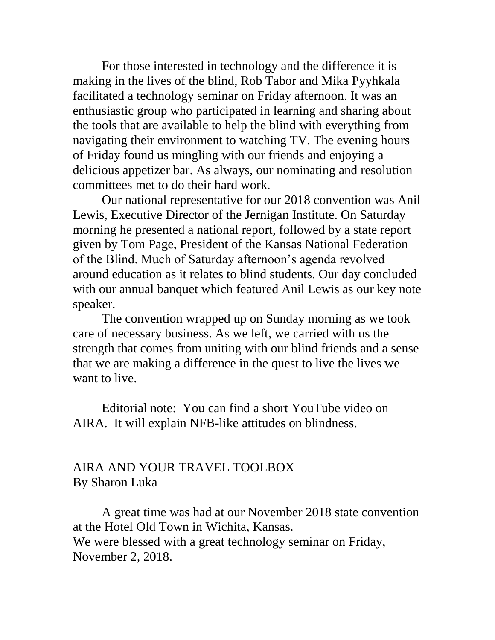For those interested in technology and the difference it is making in the lives of the blind, Rob Tabor and Mika Pyyhkala facilitated a technology seminar on Friday afternoon. It was an enthusiastic group who participated in learning and sharing about the tools that are available to help the blind with everything from navigating their environment to watching TV. The evening hours of Friday found us mingling with our friends and enjoying a delicious appetizer bar. As always, our nominating and resolution committees met to do their hard work.

Our national representative for our 2018 convention was Anil Lewis, Executive Director of the Jernigan Institute. On Saturday morning he presented a national report, followed by a state report given by Tom Page, President of the Kansas National Federation of the Blind. Much of Saturday afternoon's agenda revolved around education as it relates to blind students. Our day concluded with our annual banquet which featured Anil Lewis as our key note speaker.

The convention wrapped up on Sunday morning as we took care of necessary business. As we left, we carried with us the strength that comes from uniting with our blind friends and a sense that we are making a difference in the quest to live the lives we want to live.

Editorial note: You can find a short YouTube video on AIRA. It will explain NFB-like attitudes on blindness.

### AIRA AND YOUR TRAVEL TOOLBOX By Sharon Luka

A great time was had at our November 2018 state convention at the Hotel Old Town in Wichita, Kansas. We were blessed with a great technology seminar on Friday, November 2, 2018.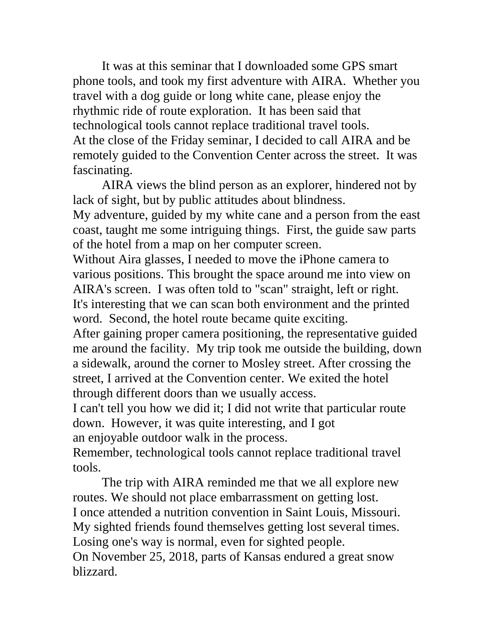It was at this seminar that I downloaded some GPS smart phone tools, and took my first adventure with AIRA. Whether you travel with a dog guide or long white cane, please enjoy the rhythmic ride of route exploration. It has been said that technological tools cannot replace traditional travel tools. At the close of the Friday seminar, I decided to call AIRA and be remotely guided to the Convention Center across the street. It was fascinating.

AIRA views the blind person as an explorer, hindered not by lack of sight, but by public attitudes about blindness. My adventure, guided by my white cane and a person from the east coast, taught me some intriguing things. First, the guide saw parts of the hotel from a map on her computer screen.

Without Aira glasses, I needed to move the iPhone camera to various positions. This brought the space around me into view on AIRA's screen. I was often told to "scan" straight, left or right. It's interesting that we can scan both environment and the printed word. Second, the hotel route became quite exciting.

After gaining proper camera positioning, the representative guided me around the facility. My trip took me outside the building, down a sidewalk, around the corner to Mosley street. After crossing the street, I arrived at the Convention center. We exited the hotel through different doors than we usually access.

I can't tell you how we did it; I did not write that particular route down. However, it was quite interesting, and I got an enjoyable outdoor walk in the process.

Remember, technological tools cannot replace traditional travel tools.

The trip with AIRA reminded me that we all explore new routes. We should not place embarrassment on getting lost. I once attended a nutrition convention in Saint Louis, Missouri. My sighted friends found themselves getting lost several times. Losing one's way is normal, even for sighted people. On November 25, 2018, parts of Kansas endured a great snow blizzard.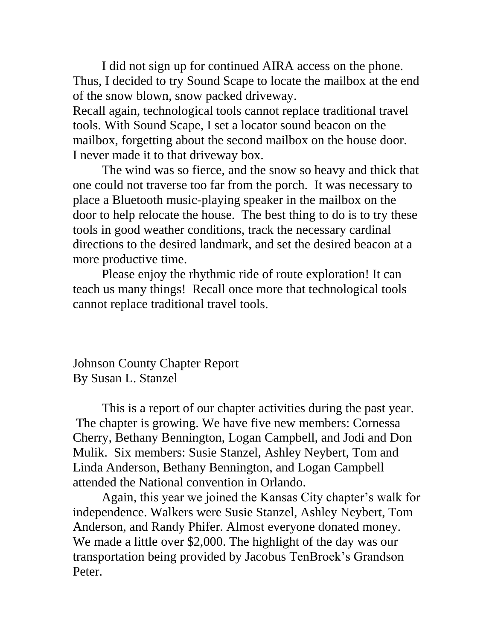I did not sign up for continued AIRA access on the phone. Thus, I decided to try Sound Scape to locate the mailbox at the end of the snow blown, snow packed driveway.

Recall again, technological tools cannot replace traditional travel tools. With Sound Scape, I set a locator sound beacon on the mailbox, forgetting about the second mailbox on the house door. I never made it to that driveway box.

The wind was so fierce, and the snow so heavy and thick that one could not traverse too far from the porch. It was necessary to place a Bluetooth music-playing speaker in the mailbox on the door to help relocate the house. The best thing to do is to try these tools in good weather conditions, track the necessary cardinal directions to the desired landmark, and set the desired beacon at a more productive time.

Please enjoy the rhythmic ride of route exploration! It can teach us many things! Recall once more that technological tools cannot replace traditional travel tools.

Johnson County Chapter Report By Susan L. Stanzel

This is a report of our chapter activities during the past year. The chapter is growing. We have five new members: Cornessa Cherry, Bethany Bennington, Logan Campbell, and Jodi and Don Mulik. Six members: Susie Stanzel, Ashley Neybert, Tom and Linda Anderson, Bethany Bennington, and Logan Campbell attended the National convention in Orlando.

Again, this year we joined the Kansas City chapter's walk for independence. Walkers were Susie Stanzel, Ashley Neybert, Tom Anderson, and Randy Phifer. Almost everyone donated money. We made a little over \$2,000. The highlight of the day was our transportation being provided by Jacobus TenBroek's Grandson Peter.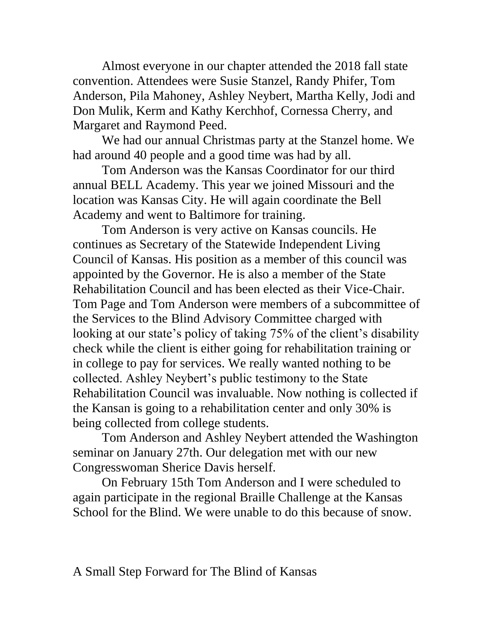Almost everyone in our chapter attended the 2018 fall state convention. Attendees were Susie Stanzel, Randy Phifer, Tom Anderson, Pila Mahoney, Ashley Neybert, Martha Kelly, Jodi and Don Mulik, Kerm and Kathy Kerchhof, Cornessa Cherry, and Margaret and Raymond Peed.

We had our annual Christmas party at the Stanzel home. We had around 40 people and a good time was had by all.

Tom Anderson was the Kansas Coordinator for our third annual BELL Academy. This year we joined Missouri and the location was Kansas City. He will again coordinate the Bell Academy and went to Baltimore for training.

Tom Anderson is very active on Kansas councils. He continues as Secretary of the Statewide Independent Living Council of Kansas. His position as a member of this council was appointed by the Governor. He is also a member of the State Rehabilitation Council and has been elected as their Vice-Chair. Tom Page and Tom Anderson were members of a subcommittee of the Services to the Blind Advisory Committee charged with looking at our state's policy of taking 75% of the client's disability check while the client is either going for rehabilitation training or in college to pay for services. We really wanted nothing to be collected. Ashley Neybert's public testimony to the State Rehabilitation Council was invaluable. Now nothing is collected if the Kansan is going to a rehabilitation center and only 30% is being collected from college students.

Tom Anderson and Ashley Neybert attended the Washington seminar on January 27th. Our delegation met with our new Congresswoman Sherice Davis herself.

On February 15th Tom Anderson and I were scheduled to again participate in the regional Braille Challenge at the Kansas School for the Blind. We were unable to do this because of snow.

### A Small Step Forward for The Blind of Kansas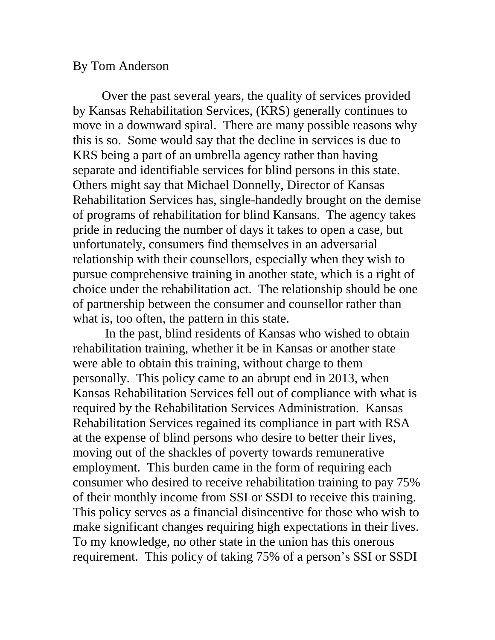#### By Tom Anderson

Over the past several years, the quality of services provided by Kansas Rehabilitation Services, (KRS) generally continues to move in a downward spiral. There are many possible reasons why this is so. Some would say that the decline in services is due to KRS being a part of an umbrella agency rather than having separate and identifiable services for blind persons in this state. Others might say that Michael Donnelly, Director of Kansas Rehabilitation Services has, single-handedly brought on the demise of programs of rehabilitation for blind Kansans. The agency takes pride in reducing the number of days it takes to open a case, but unfortunately, consumers find themselves in an adversarial relationship with their counsellors, especially when they wish to pursue comprehensive training in another state, which is a right of choice under the rehabilitation act. The relationship should be one of partnership between the consumer and counsellor rather than what is, too often, the pattern in this state.

In the past, blind residents of Kansas who wished to obtain rehabilitation training, whether it be in Kansas or another state were able to obtain this training, without charge to them personally. This policy came to an abrupt end in 2013, when Kansas Rehabilitation Services fell out of compliance with what is required by the Rehabilitation Services Administration. Kansas Rehabilitation Services regained its compliance in part with RSA at the expense of blind persons who desire to better their lives, moving out of the shackles of poverty towards remunerative employment. This burden came in the form of requiring each consumer who desired to receive rehabilitation training to pay 75% of their monthly income from SSI or SSDI to receive this training. This policy serves as a financial disincentive for those who wish to make significant changes requiring high expectations in their lives. To my knowledge, no other state in the union has this onerous requirement. This policy of taking 75% of a person's SSI or SSDI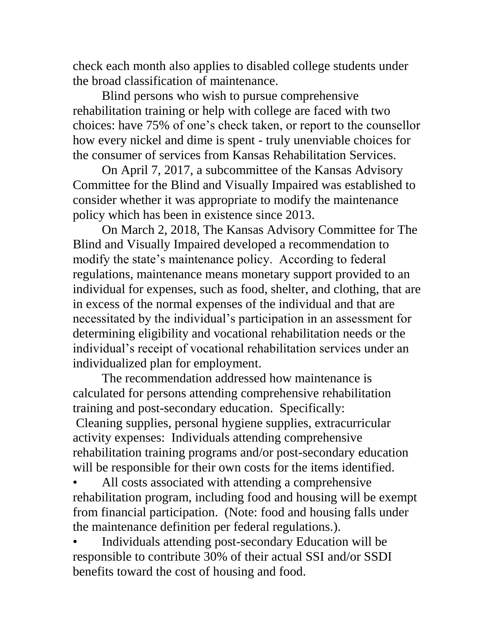check each month also applies to disabled college students under the broad classification of maintenance.

Blind persons who wish to pursue comprehensive rehabilitation training or help with college are faced with two choices: have 75% of one's check taken, or report to the counsellor how every nickel and dime is spent - truly unenviable choices for the consumer of services from Kansas Rehabilitation Services.

On April 7, 2017, a subcommittee of the Kansas Advisory Committee for the Blind and Visually Impaired was established to consider whether it was appropriate to modify the maintenance policy which has been in existence since 2013.

On March 2, 2018, The Kansas Advisory Committee for The Blind and Visually Impaired developed a recommendation to modify the state's maintenance policy. According to federal regulations, maintenance means monetary support provided to an individual for expenses, such as food, shelter, and clothing, that are in excess of the normal expenses of the individual and that are necessitated by the individual's participation in an assessment for determining eligibility and vocational rehabilitation needs or the individual's receipt of vocational rehabilitation services under an individualized plan for employment.

The recommendation addressed how maintenance is calculated for persons attending comprehensive rehabilitation training and post-secondary education. Specifically: Cleaning supplies, personal hygiene supplies, extracurricular activity expenses: Individuals attending comprehensive rehabilitation training programs and/or post-secondary education will be responsible for their own costs for the items identified.

All costs associated with attending a comprehensive rehabilitation program, including food and housing will be exempt from financial participation. (Note: food and housing falls under the maintenance definition per federal regulations.).

• Individuals attending post-secondary Education will be responsible to contribute 30% of their actual SSI and/or SSDI benefits toward the cost of housing and food.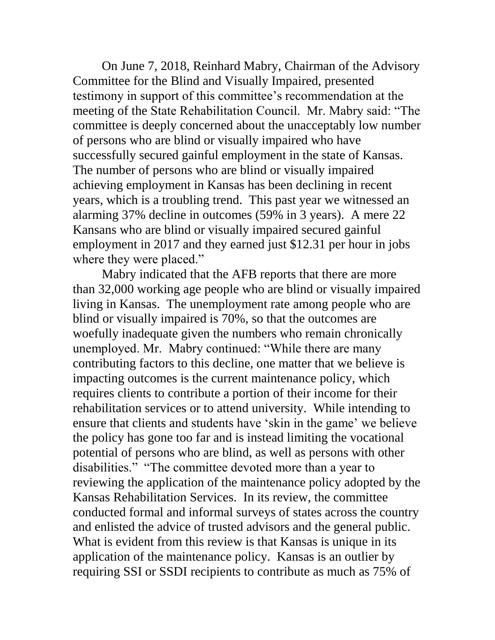On June 7, 2018, Reinhard Mabry, Chairman of the Advisory Committee for the Blind and Visually Impaired, presented testimony in support of this committee's recommendation at the meeting of the State Rehabilitation Council. Mr. Mabry said: "The committee is deeply concerned about the unacceptably low number of persons who are blind or visually impaired who have successfully secured gainful employment in the state of Kansas. The number of persons who are blind or visually impaired achieving employment in Kansas has been declining in recent years, which is a troubling trend. This past year we witnessed an alarming 37% decline in outcomes (59% in 3 years). A mere 22 Kansans who are blind or visually impaired secured gainful employment in 2017 and they earned just \$12.31 per hour in jobs where they were placed."

Mabry indicated that the AFB reports that there are more than 32,000 working age people who are blind or visually impaired living in Kansas. The unemployment rate among people who are blind or visually impaired is 70%, so that the outcomes are woefully inadequate given the numbers who remain chronically unemployed. Mr. Mabry continued: "While there are many contributing factors to this decline, one matter that we believe is impacting outcomes is the current maintenance policy, which requires clients to contribute a portion of their income for their rehabilitation services or to attend university. While intending to ensure that clients and students have 'skin in the game' we believe the policy has gone too far and is instead limiting the vocational potential of persons who are blind, as well as persons with other disabilities." "The committee devoted more than a year to reviewing the application of the maintenance policy adopted by the Kansas Rehabilitation Services. In its review, the committee conducted formal and informal surveys of states across the country and enlisted the advice of trusted advisors and the general public. What is evident from this review is that Kansas is unique in its application of the maintenance policy. Kansas is an outlier by requiring SSI or SSDI recipients to contribute as much as 75% of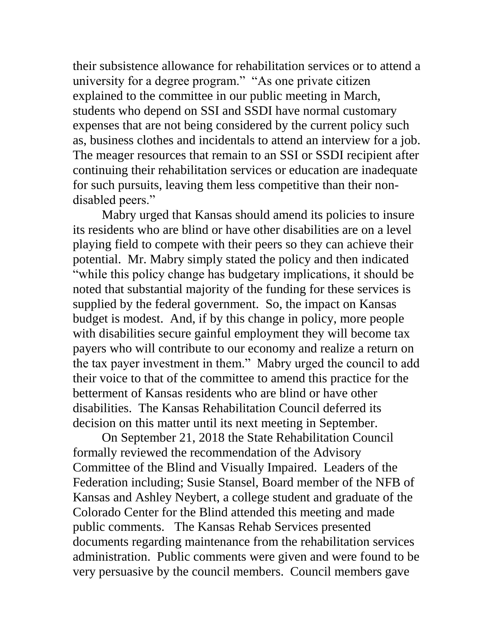their subsistence allowance for rehabilitation services or to attend a university for a degree program." "As one private citizen explained to the committee in our public meeting in March, students who depend on SSI and SSDI have normal customary expenses that are not being considered by the current policy such as, business clothes and incidentals to attend an interview for a job. The meager resources that remain to an SSI or SSDI recipient after continuing their rehabilitation services or education are inadequate for such pursuits, leaving them less competitive than their nondisabled peers."

Mabry urged that Kansas should amend its policies to insure its residents who are blind or have other disabilities are on a level playing field to compete with their peers so they can achieve their potential. Mr. Mabry simply stated the policy and then indicated "while this policy change has budgetary implications, it should be noted that substantial majority of the funding for these services is supplied by the federal government. So, the impact on Kansas budget is modest. And, if by this change in policy, more people with disabilities secure gainful employment they will become tax payers who will contribute to our economy and realize a return on the tax payer investment in them." Mabry urged the council to add their voice to that of the committee to amend this practice for the betterment of Kansas residents who are blind or have other disabilities. The Kansas Rehabilitation Council deferred its decision on this matter until its next meeting in September.

On September 21, 2018 the State Rehabilitation Council formally reviewed the recommendation of the Advisory Committee of the Blind and Visually Impaired. Leaders of the Federation including; Susie Stansel, Board member of the NFB of Kansas and Ashley Neybert, a college student and graduate of the Colorado Center for the Blind attended this meeting and made public comments. The Kansas Rehab Services presented documents regarding maintenance from the rehabilitation services administration. Public comments were given and were found to be very persuasive by the council members. Council members gave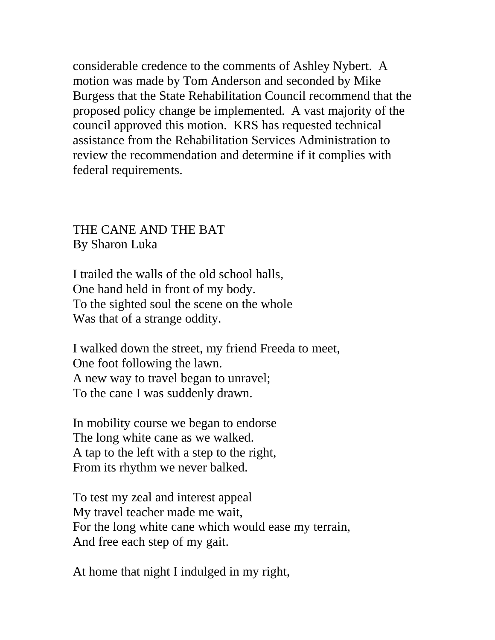considerable credence to the comments of Ashley Nybert. A motion was made by Tom Anderson and seconded by Mike Burgess that the State Rehabilitation Council recommend that the proposed policy change be implemented. A vast majority of the council approved this motion. KRS has requested technical assistance from the Rehabilitation Services Administration to review the recommendation and determine if it complies with federal requirements.

### THE CANE AND THE BAT By Sharon Luka

I trailed the walls of the old school halls, One hand held in front of my body. To the sighted soul the scene on the whole Was that of a strange oddity.

I walked down the street, my friend Freeda to meet, One foot following the lawn. A new way to travel began to unravel; To the cane I was suddenly drawn.

In mobility course we began to endorse The long white cane as we walked. A tap to the left with a step to the right, From its rhythm we never balked.

To test my zeal and interest appeal My travel teacher made me wait, For the long white cane which would ease my terrain, And free each step of my gait.

At home that night I indulged in my right,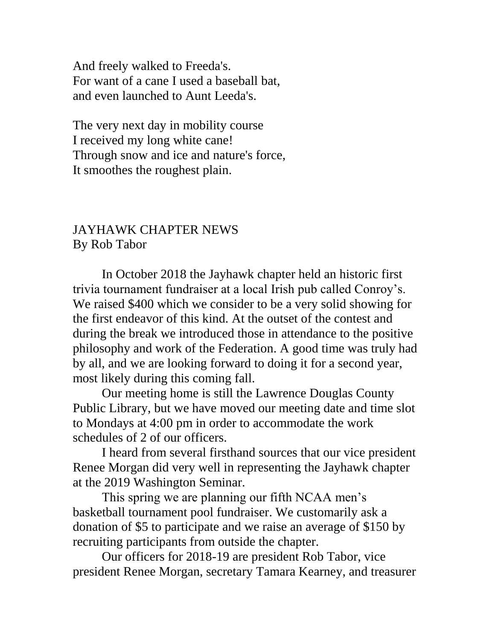And freely walked to Freeda's. For want of a cane I used a baseball bat, and even launched to Aunt Leeda's.

The very next day in mobility course I received my long white cane! Through snow and ice and nature's force, It smoothes the roughest plain.

#### JAYHAWK CHAPTER NEWS By Rob Tabor

In October 2018 the Jayhawk chapter held an historic first trivia tournament fundraiser at a local Irish pub called Conroy's. We raised \$400 which we consider to be a very solid showing for the first endeavor of this kind. At the outset of the contest and during the break we introduced those in attendance to the positive philosophy and work of the Federation. A good time was truly had by all, and we are looking forward to doing it for a second year, most likely during this coming fall.

Our meeting home is still the Lawrence Douglas County Public Library, but we have moved our meeting date and time slot to Mondays at 4:00 pm in order to accommodate the work schedules of 2 of our officers.

I heard from several firsthand sources that our vice president Renee Morgan did very well in representing the Jayhawk chapter at the 2019 Washington Seminar.

This spring we are planning our fifth NCAA men's basketball tournament pool fundraiser. We customarily ask a donation of \$5 to participate and we raise an average of \$150 by recruiting participants from outside the chapter.

Our officers for 2018-19 are president Rob Tabor, vice president Renee Morgan, secretary Tamara Kearney, and treasurer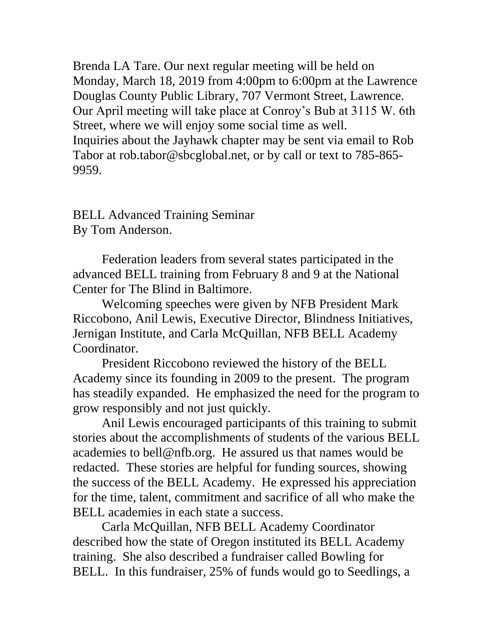Brenda LA Tare. Our next regular meeting will be held on Monday, March 18, 2019 from 4:00pm to 6:00pm at the Lawrence Douglas County Public Library, 707 Vermont Street, Lawrence. Our April meeting will take place at Conroy's Bub at 3115 W. 6th Street, where we will enjoy some social time as well. Inquiries about the Jayhawk chapter may be sent via email to Rob Tabor at rob.tabor@sbcglobal.net, or by call or text to 785-865- 9959.

BELL Advanced Training Seminar By Tom Anderson.

Federation leaders from several states participated in the advanced BELL training from February 8 and 9 at the National Center for The Blind in Baltimore.

Welcoming speeches were given by NFB President Mark Riccobono, Anil Lewis, Executive Director, Blindness Initiatives, Jernigan Institute, and Carla McQuillan, NFB BELL Academy Coordinator.

President Riccobono reviewed the history of the BELL Academy since its founding in 2009 to the present. The program has steadily expanded. He emphasized the need for the program to grow responsibly and not just quickly.

Anil Lewis encouraged participants of this training to submit stories about the accomplishments of students of the various BELL academies to bell@nfb.org. He assured us that names would be redacted. These stories are helpful for funding sources, showing the success of the BELL Academy. He expressed his appreciation for the time, talent, commitment and sacrifice of all who make the BELL academies in each state a success.

Carla McQuillan, NFB BELL Academy Coordinator described how the state of Oregon instituted its BELL Academy training. She also described a fundraiser called Bowling for BELL. In this fundraiser, 25% of funds would go to Seedlings, a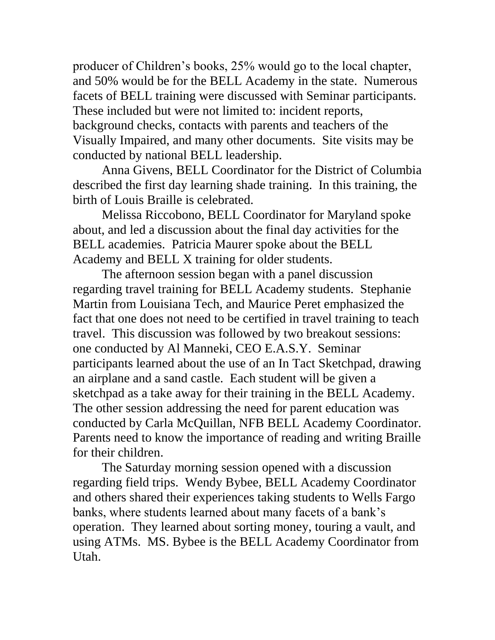producer of Children's books, 25% would go to the local chapter, and 50% would be for the BELL Academy in the state. Numerous facets of BELL training were discussed with Seminar participants. These included but were not limited to: incident reports, background checks, contacts with parents and teachers of the Visually Impaired, and many other documents. Site visits may be conducted by national BELL leadership.

Anna Givens, BELL Coordinator for the District of Columbia described the first day learning shade training. In this training, the birth of Louis Braille is celebrated.

Melissa Riccobono, BELL Coordinator for Maryland spoke about, and led a discussion about the final day activities for the BELL academies. Patricia Maurer spoke about the BELL Academy and BELL X training for older students.

The afternoon session began with a panel discussion regarding travel training for BELL Academy students. Stephanie Martin from Louisiana Tech, and Maurice Peret emphasized the fact that one does not need to be certified in travel training to teach travel. This discussion was followed by two breakout sessions: one conducted by Al Manneki, CEO E.A.S.Y. Seminar participants learned about the use of an In Tact Sketchpad, drawing an airplane and a sand castle. Each student will be given a sketchpad as a take away for their training in the BELL Academy. The other session addressing the need for parent education was conducted by Carla McQuillan, NFB BELL Academy Coordinator. Parents need to know the importance of reading and writing Braille for their children.

The Saturday morning session opened with a discussion regarding field trips. Wendy Bybee, BELL Academy Coordinator and others shared their experiences taking students to Wells Fargo banks, where students learned about many facets of a bank's operation. They learned about sorting money, touring a vault, and using ATMs. MS. Bybee is the BELL Academy Coordinator from Utah.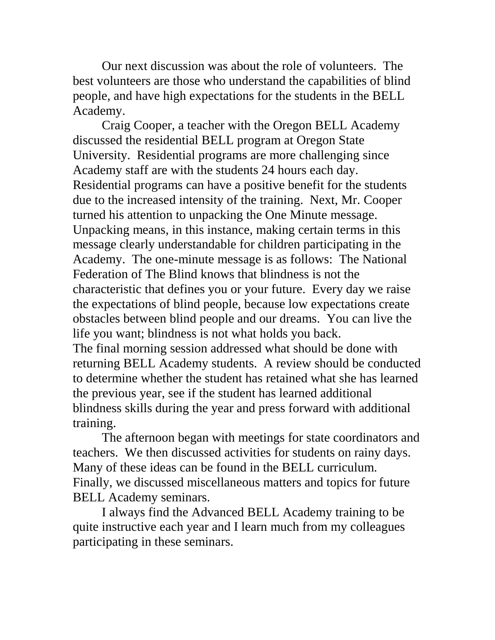Our next discussion was about the role of volunteers. The best volunteers are those who understand the capabilities of blind people, and have high expectations for the students in the BELL Academy.

Craig Cooper, a teacher with the Oregon BELL Academy discussed the residential BELL program at Oregon State University. Residential programs are more challenging since Academy staff are with the students 24 hours each day. Residential programs can have a positive benefit for the students due to the increased intensity of the training. Next, Mr. Cooper turned his attention to unpacking the One Minute message. Unpacking means, in this instance, making certain terms in this message clearly understandable for children participating in the Academy. The one-minute message is as follows: The National Federation of The Blind knows that blindness is not the characteristic that defines you or your future. Every day we raise the expectations of blind people, because low expectations create obstacles between blind people and our dreams. You can live the life you want; blindness is not what holds you back.

The final morning session addressed what should be done with returning BELL Academy students. A review should be conducted to determine whether the student has retained what she has learned the previous year, see if the student has learned additional blindness skills during the year and press forward with additional training.

The afternoon began with meetings for state coordinators and teachers. We then discussed activities for students on rainy days. Many of these ideas can be found in the BELL curriculum. Finally, we discussed miscellaneous matters and topics for future BELL Academy seminars.

I always find the Advanced BELL Academy training to be quite instructive each year and I learn much from my colleagues participating in these seminars.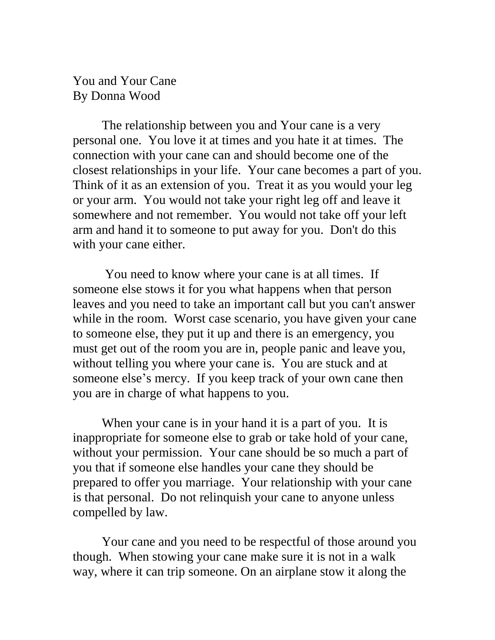You and Your Cane By Donna Wood

The relationship between you and Your cane is a very personal one. You love it at times and you hate it at times. The connection with your cane can and should become one of the closest relationships in your life. Your cane becomes a part of you. Think of it as an extension of you. Treat it as you would your leg or your arm. You would not take your right leg off and leave it somewhere and not remember. You would not take off your left arm and hand it to someone to put away for you. Don't do this with your cane either.

You need to know where your cane is at all times. If someone else stows it for you what happens when that person leaves and you need to take an important call but you can't answer while in the room. Worst case scenario, you have given your cane to someone else, they put it up and there is an emergency, you must get out of the room you are in, people panic and leave you, without telling you where your cane is. You are stuck and at someone else's mercy. If you keep track of your own cane then you are in charge of what happens to you.

When your cane is in your hand it is a part of you. It is inappropriate for someone else to grab or take hold of your cane, without your permission. Your cane should be so much a part of you that if someone else handles your cane they should be prepared to offer you marriage. Your relationship with your cane is that personal. Do not relinquish your cane to anyone unless compelled by law.

Your cane and you need to be respectful of those around you though. When stowing your cane make sure it is not in a walk way, where it can trip someone. On an airplane stow it along the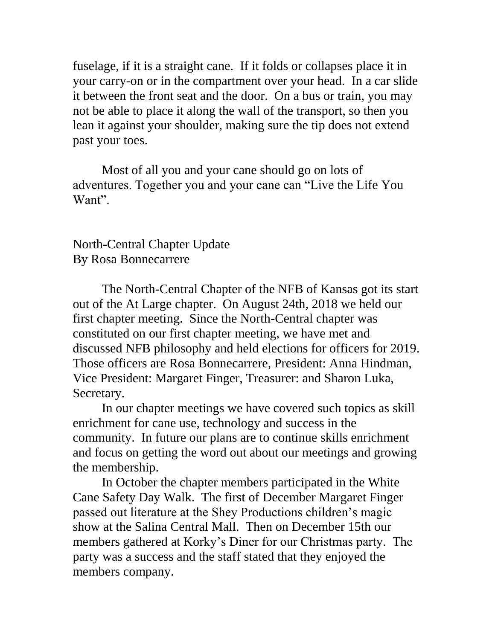fuselage, if it is a straight cane. If it folds or collapses place it in your carry-on or in the compartment over your head. In a car slide it between the front seat and the door. On a bus or train, you may not be able to place it along the wall of the transport, so then you lean it against your shoulder, making sure the tip does not extend past your toes.

Most of all you and your cane should go on lots of adventures. Together you and your cane can "Live the Life You Want".

North-Central Chapter Update By Rosa Bonnecarrere

The North-Central Chapter of the NFB of Kansas got its start out of the At Large chapter. On August 24th, 2018 we held our first chapter meeting. Since the North-Central chapter was constituted on our first chapter meeting, we have met and discussed NFB philosophy and held elections for officers for 2019. Those officers are Rosa Bonnecarrere, President: Anna Hindman, Vice President: Margaret Finger, Treasurer: and Sharon Luka, Secretary.

In our chapter meetings we have covered such topics as skill enrichment for cane use, technology and success in the community. In future our plans are to continue skills enrichment and focus on getting the word out about our meetings and growing the membership.

In October the chapter members participated in the White Cane Safety Day Walk. The first of December Margaret Finger passed out literature at the Shey Productions children's magic show at the Salina Central Mall. Then on December 15th our members gathered at Korky's Diner for our Christmas party. The party was a success and the staff stated that they enjoyed the members company.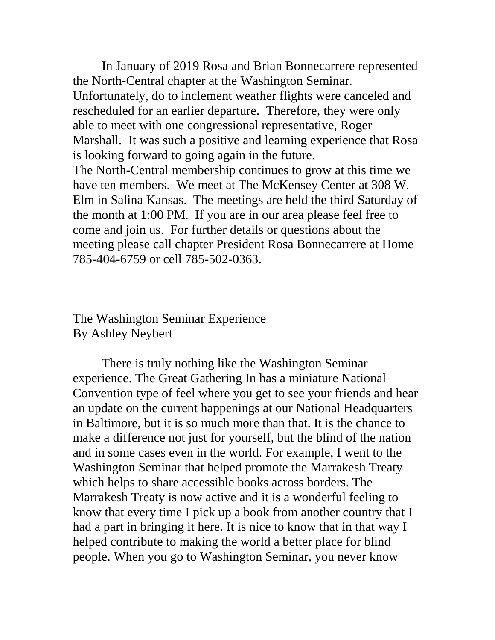In January of 2019 Rosa and Brian Bonnecarrere represented the North-Central chapter at the Washington Seminar. Unfortunately, do to inclement weather flights were canceled and rescheduled for an earlier departure. Therefore, they were only able to meet with one congressional representative, Roger Marshall. It was such a positive and learning experience that Rosa is looking forward to going again in the future. The North-Central membership continues to grow at this time we have ten members. We meet at The McKensey Center at 308 W. Elm in Salina Kansas. The meetings are held the third Saturday of the month at 1:00 PM. If you are in our area please feel free to come and join us. For further details or questions about the meeting please call chapter President Rosa Bonnecarrere at Home 785-404-6759 or cell 785-502-0363.

The Washington Seminar Experience By Ashley Neybert

There is truly nothing like the Washington Seminar experience. The Great Gathering In has a miniature National Convention type of feel where you get to see your friends and hear an update on the current happenings at our National Headquarters in Baltimore, but it is so much more than that. It is the chance to make a difference not just for yourself, but the blind of the nation and in some cases even in the world. For example, I went to the Washington Seminar that helped promote the Marrakesh Treaty which helps to share accessible books across borders. The Marrakesh Treaty is now active and it is a wonderful feeling to know that every time I pick up a book from another country that I had a part in bringing it here. It is nice to know that in that way I helped contribute to making the world a better place for blind people. When you go to Washington Seminar, you never know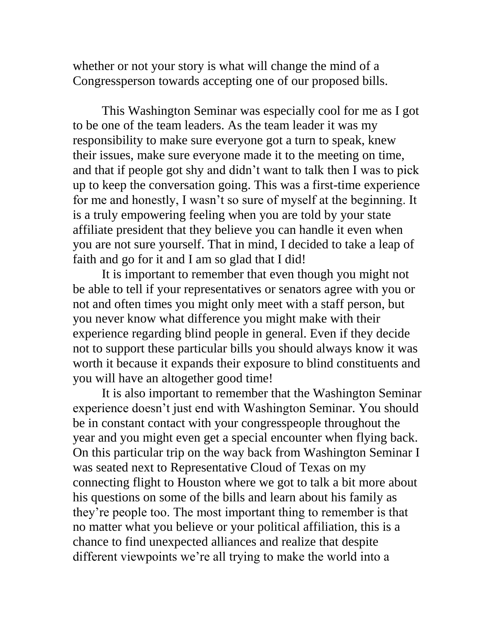whether or not your story is what will change the mind of a Congressperson towards accepting one of our proposed bills.

This Washington Seminar was especially cool for me as I got to be one of the team leaders. As the team leader it was my responsibility to make sure everyone got a turn to speak, knew their issues, make sure everyone made it to the meeting on time, and that if people got shy and didn't want to talk then I was to pick up to keep the conversation going. This was a first-time experience for me and honestly, I wasn't so sure of myself at the beginning. It is a truly empowering feeling when you are told by your state affiliate president that they believe you can handle it even when you are not sure yourself. That in mind, I decided to take a leap of faith and go for it and I am so glad that I did!

It is important to remember that even though you might not be able to tell if your representatives or senators agree with you or not and often times you might only meet with a staff person, but you never know what difference you might make with their experience regarding blind people in general. Even if they decide not to support these particular bills you should always know it was worth it because it expands their exposure to blind constituents and you will have an altogether good time!

It is also important to remember that the Washington Seminar experience doesn't just end with Washington Seminar. You should be in constant contact with your congresspeople throughout the year and you might even get a special encounter when flying back. On this particular trip on the way back from Washington Seminar I was seated next to Representative Cloud of Texas on my connecting flight to Houston where we got to talk a bit more about his questions on some of the bills and learn about his family as they're people too. The most important thing to remember is that no matter what you believe or your political affiliation, this is a chance to find unexpected alliances and realize that despite different viewpoints we're all trying to make the world into a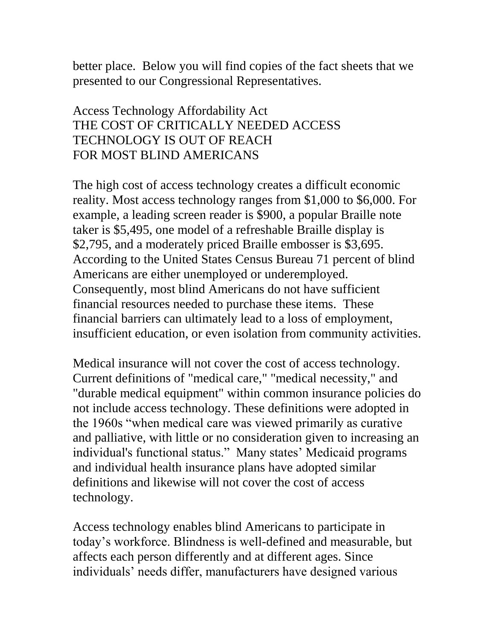better place. Below you will find copies of the fact sheets that we presented to our Congressional Representatives.

## Access Technology Affordability Act THE COST OF CRITICALLY NEEDED ACCESS TECHNOLOGY IS OUT OF REACH FOR MOST BLIND AMERICANS

The high cost of access technology creates a difficult economic reality. Most access technology ranges from \$1,000 to \$6,000. For example, a leading screen reader is \$900, a popular Braille note taker is \$5,495, one model of a refreshable Braille display is \$2,795, and a moderately priced Braille embosser is \$3,695. According to the United States Census Bureau 71 percent of blind Americans are either unemployed or underemployed. Consequently, most blind Americans do not have sufficient financial resources needed to purchase these items. These financial barriers can ultimately lead to a loss of employment, insufficient education, or even isolation from community activities.

Medical insurance will not cover the cost of access technology. Current definitions of "medical care," "medical necessity," and "durable medical equipment" within common insurance policies do not include access technology. These definitions were adopted in the 1960s "when medical care was viewed primarily as curative and palliative, with little or no consideration given to increasing an individual's functional status." Many states' Medicaid programs and individual health insurance plans have adopted similar definitions and likewise will not cover the cost of access technology.

Access technology enables blind Americans to participate in today's workforce. Blindness is well-defined and measurable, but affects each person differently and at different ages. Since individuals' needs differ, manufacturers have designed various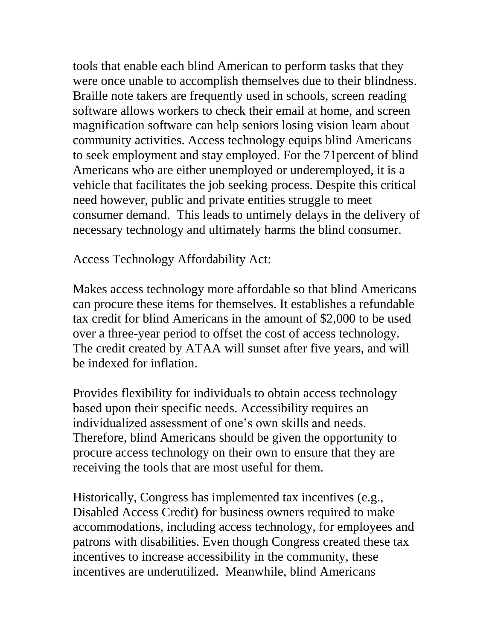tools that enable each blind American to perform tasks that they were once unable to accomplish themselves due to their blindness. Braille note takers are frequently used in schools, screen reading software allows workers to check their email at home, and screen magnification software can help seniors losing vision learn about community activities. Access technology equips blind Americans to seek employment and stay employed. For the 71percent of blind Americans who are either unemployed or underemployed, it is a vehicle that facilitates the job seeking process. Despite this critical need however, public and private entities struggle to meet consumer demand. This leads to untimely delays in the delivery of necessary technology and ultimately harms the blind consumer.

Access Technology Affordability Act:

Makes access technology more affordable so that blind Americans can procure these items for themselves. It establishes a refundable tax credit for blind Americans in the amount of \$2,000 to be used over a three-year period to offset the cost of access technology. The credit created by ATAA will sunset after five years, and will be indexed for inflation.

Provides flexibility for individuals to obtain access technology based upon their specific needs. Accessibility requires an individualized assessment of one's own skills and needs. Therefore, blind Americans should be given the opportunity to procure access technology on their own to ensure that they are receiving the tools that are most useful for them.

Historically, Congress has implemented tax incentives (e.g., Disabled Access Credit) for business owners required to make accommodations, including access technology, for employees and patrons with disabilities. Even though Congress created these tax incentives to increase accessibility in the community, these incentives are underutilized. Meanwhile, blind Americans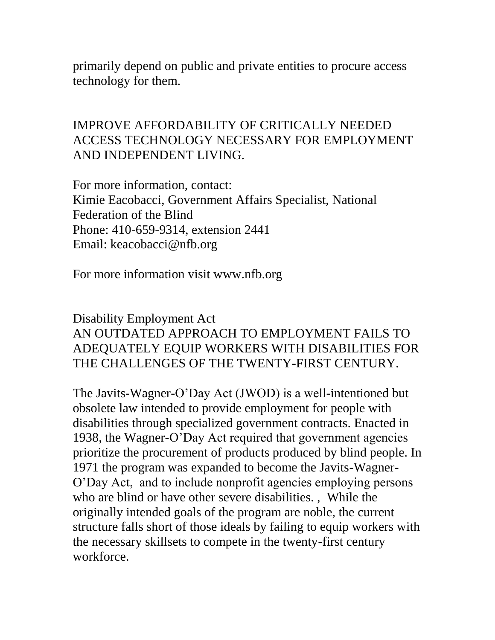primarily depend on public and private entities to procure access technology for them.

### IMPROVE AFFORDABILITY OF CRITICALLY NEEDED ACCESS TECHNOLOGY NECESSARY FOR EMPLOYMENT AND INDEPENDENT LIVING.

For more information, contact: Kimie Eacobacci, Government Affairs Specialist, National Federation of the Blind Phone: 410-659-9314, extension 2441 Email: keacobacci@nfb.org

For more information visit www.nfb.org

### Disability Employment Act AN OUTDATED APPROACH TO EMPLOYMENT FAILS TO ADEQUATELY EQUIP WORKERS WITH DISABILITIES FOR THE CHALLENGES OF THE TWENTY-FIRST CENTURY.

The Javits-Wagner-O'Day Act (JWOD) is a well-intentioned but obsolete law intended to provide employment for people with disabilities through specialized government contracts. Enacted in 1938, the Wagner-O'Day Act required that government agencies prioritize the procurement of products produced by blind people. In 1971 the program was expanded to become the Javits-Wagner-O'Day Act, and to include nonprofit agencies employing persons who are blind or have other severe disabilities. , While the originally intended goals of the program are noble, the current structure falls short of those ideals by failing to equip workers with the necessary skillsets to compete in the twenty-first century workforce.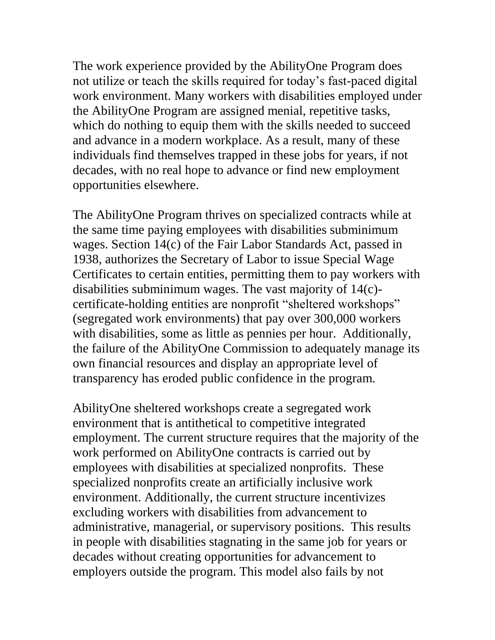The work experience provided by the AbilityOne Program does not utilize or teach the skills required for today's fast-paced digital work environment. Many workers with disabilities employed under the AbilityOne Program are assigned menial, repetitive tasks, which do nothing to equip them with the skills needed to succeed and advance in a modern workplace. As a result, many of these individuals find themselves trapped in these jobs for years, if not decades, with no real hope to advance or find new employment opportunities elsewhere.

The AbilityOne Program thrives on specialized contracts while at the same time paying employees with disabilities subminimum wages. Section 14(c) of the Fair Labor Standards Act, passed in 1938, authorizes the Secretary of Labor to issue Special Wage Certificates to certain entities, permitting them to pay workers with disabilities subminimum wages. The vast majority of 14(c) certificate-holding entities are nonprofit "sheltered workshops" (segregated work environments) that pay over 300,000 workers with disabilities, some as little as pennies per hour. Additionally, the failure of the AbilityOne Commission to adequately manage its own financial resources and display an appropriate level of transparency has eroded public confidence in the program.

AbilityOne sheltered workshops create a segregated work environment that is antithetical to competitive integrated employment. The current structure requires that the majority of the work performed on AbilityOne contracts is carried out by employees with disabilities at specialized nonprofits. These specialized nonprofits create an artificially inclusive work environment. Additionally, the current structure incentivizes excluding workers with disabilities from advancement to administrative, managerial, or supervisory positions. This results in people with disabilities stagnating in the same job for years or decades without creating opportunities for advancement to employers outside the program. This model also fails by not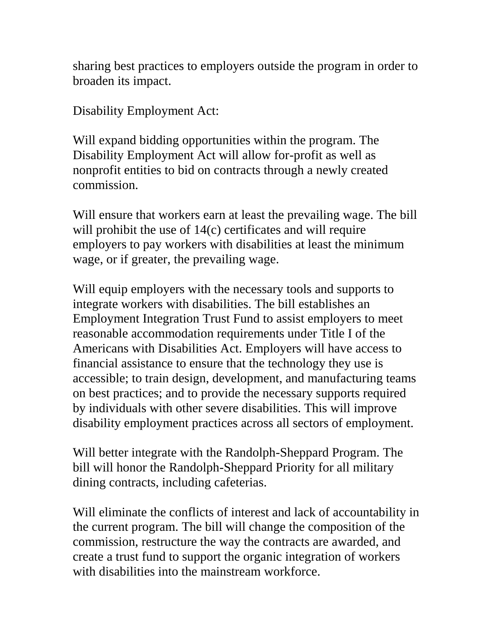sharing best practices to employers outside the program in order to broaden its impact.

Disability Employment Act:

Will expand bidding opportunities within the program. The Disability Employment Act will allow for-profit as well as nonprofit entities to bid on contracts through a newly created commission.

Will ensure that workers earn at least the prevailing wage. The bill will prohibit the use of 14(c) certificates and will require employers to pay workers with disabilities at least the minimum wage, or if greater, the prevailing wage.

Will equip employers with the necessary tools and supports to integrate workers with disabilities. The bill establishes an Employment Integration Trust Fund to assist employers to meet reasonable accommodation requirements under Title I of the Americans with Disabilities Act. Employers will have access to financial assistance to ensure that the technology they use is accessible; to train design, development, and manufacturing teams on best practices; and to provide the necessary supports required by individuals with other severe disabilities. This will improve disability employment practices across all sectors of employment.

Will better integrate with the Randolph-Sheppard Program. The bill will honor the Randolph-Sheppard Priority for all military dining contracts, including cafeterias.

Will eliminate the conflicts of interest and lack of accountability in the current program. The bill will change the composition of the commission, restructure the way the contracts are awarded, and create a trust fund to support the organic integration of workers with disabilities into the mainstream workforce.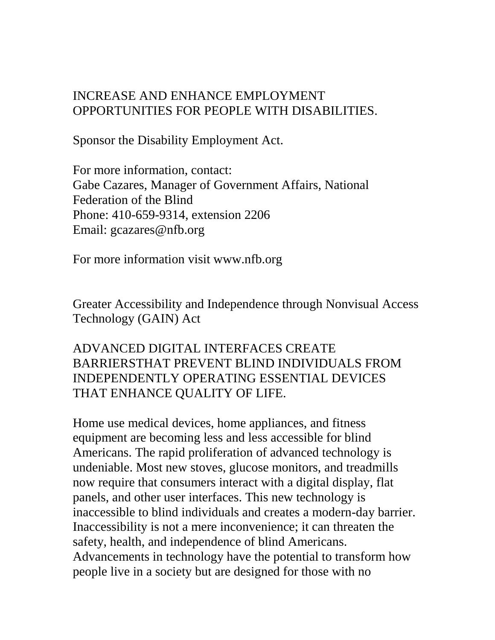### INCREASE AND ENHANCE EMPLOYMENT OPPORTUNITIES FOR PEOPLE WITH DISABILITIES.

Sponsor the Disability Employment Act.

For more information, contact: Gabe Cazares, Manager of Government Affairs, National Federation of the Blind Phone: 410-659-9314, extension 2206 Email: gcazares@nfb.org

For more information visit www.nfb.org

Greater Accessibility and Independence through Nonvisual Access Technology (GAIN) Act

## ADVANCED DIGITAL INTERFACES CREATE BARRIERSTHAT PREVENT BLIND INDIVIDUALS FROM INDEPENDENTLY OPERATING ESSENTIAL DEVICES THAT ENHANCE QUALITY OF LIFE.

Home use medical devices, home appliances, and fitness equipment are becoming less and less accessible for blind Americans. The rapid proliferation of advanced technology is undeniable. Most new stoves, glucose monitors, and treadmills now require that consumers interact with a digital display, flat panels, and other user interfaces. This new technology is inaccessible to blind individuals and creates a modern-day barrier. Inaccessibility is not a mere inconvenience; it can threaten the safety, health, and independence of blind Americans. Advancements in technology have the potential to transform how people live in a society but are designed for those with no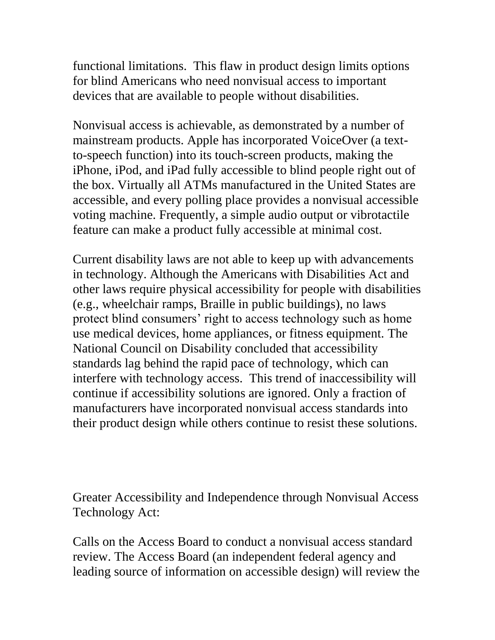functional limitations. This flaw in product design limits options for blind Americans who need nonvisual access to important devices that are available to people without disabilities.

Nonvisual access is achievable, as demonstrated by a number of mainstream products. Apple has incorporated VoiceOver (a textto-speech function) into its touch-screen products, making the iPhone, iPod, and iPad fully accessible to blind people right out of the box. Virtually all ATMs manufactured in the United States are accessible, and every polling place provides a nonvisual accessible voting machine. Frequently, a simple audio output or vibrotactile feature can make a product fully accessible at minimal cost.

Current disability laws are not able to keep up with advancements in technology. Although the Americans with Disabilities Act and other laws require physical accessibility for people with disabilities (e.g., wheelchair ramps, Braille in public buildings), no laws protect blind consumers' right to access technology such as home use medical devices, home appliances, or fitness equipment. The National Council on Disability concluded that accessibility standards lag behind the rapid pace of technology, which can interfere with technology access. This trend of inaccessibility will continue if accessibility solutions are ignored. Only a fraction of manufacturers have incorporated nonvisual access standards into their product design while others continue to resist these solutions.

Greater Accessibility and Independence through Nonvisual Access Technology Act:

Calls on the Access Board to conduct a nonvisual access standard review. The Access Board (an independent federal agency and leading source of information on accessible design) will review the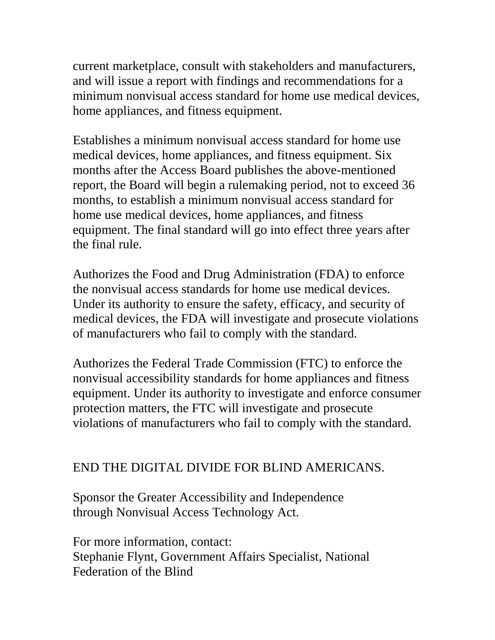current marketplace, consult with stakeholders and manufacturers, and will issue a report with findings and recommendations for a minimum nonvisual access standard for home use medical devices, home appliances, and fitness equipment.

Establishes a minimum nonvisual access standard for home use medical devices, home appliances, and fitness equipment. Six months after the Access Board publishes the above-mentioned report, the Board will begin a rulemaking period, not to exceed 36 months, to establish a minimum nonvisual access standard for home use medical devices, home appliances, and fitness equipment. The final standard will go into effect three years after the final rule.

Authorizes the Food and Drug Administration (FDA) to enforce the nonvisual access standards for home use medical devices. Under its authority to ensure the safety, efficacy, and security of medical devices, the FDA will investigate and prosecute violations of manufacturers who fail to comply with the standard.

Authorizes the Federal Trade Commission (FTC) to enforce the nonvisual accessibility standards for home appliances and fitness equipment. Under its authority to investigate and enforce consumer protection matters, the FTC will investigate and prosecute violations of manufacturers who fail to comply with the standard.

### END THE DIGITAL DIVIDE FOR BLIND AMERICANS.

Sponsor the Greater Accessibility and Independence through Nonvisual Access Technology Act.

For more information, contact: Stephanie Flynt, Government Affairs Specialist, National Federation of the Blind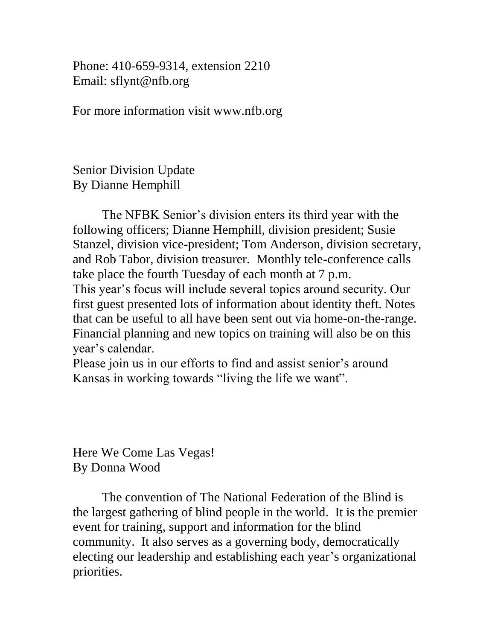Phone: 410-659-9314, extension 2210 Email: sflynt@nfb.org

For more information visit www.nfb.org

Senior Division Update By Dianne Hemphill

The NFBK Senior's division enters its third year with the following officers; Dianne Hemphill, division president; Susie Stanzel, division vice-president; Tom Anderson, division secretary, and Rob Tabor, division treasurer. Monthly tele-conference calls take place the fourth Tuesday of each month at 7 p.m. This year's focus will include several topics around security. Our first guest presented lots of information about identity theft. Notes that can be useful to all have been sent out via home-on-the-range. Financial planning and new topics on training will also be on this year's calendar.

Please join us in our efforts to find and assist senior's around Kansas in working towards "living the life we want".

Here We Come Las Vegas! By Donna Wood

The convention of The National Federation of the Blind is the largest gathering of blind people in the world. It is the premier event for training, support and information for the blind community. It also serves as a governing body, democratically electing our leadership and establishing each year's organizational priorities.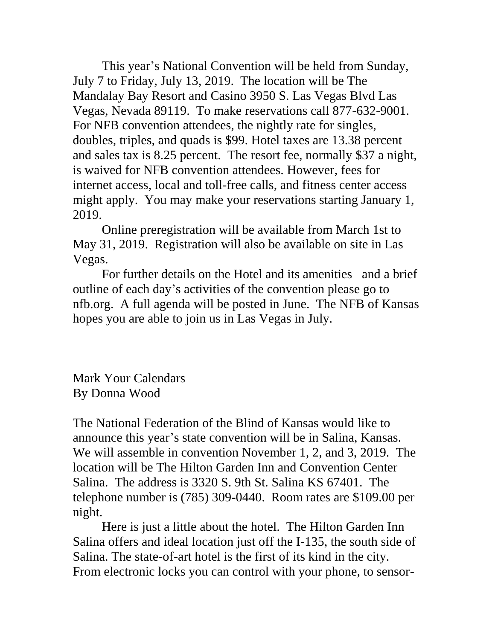This year's National Convention will be held from Sunday, July 7 to Friday, July 13, 2019. The location will be The Mandalay Bay Resort and Casino 3950 S. Las Vegas Blvd Las Vegas, Nevada 89119. To make reservations call 877-632-9001. For NFB convention attendees, the nightly rate for singles, doubles, triples, and quads is \$99. Hotel taxes are 13.38 percent and sales tax is 8.25 percent. The resort fee, normally \$37 a night, is waived for NFB convention attendees. However, fees for internet access, local and toll-free calls, and fitness center access might apply. You may make your reservations starting January 1, 2019.

Online preregistration will be available from March 1st to May 31, 2019. Registration will also be available on site in Las Vegas.

For further details on the Hotel and its amenities and a brief outline of each day's activities of the convention please go to nfb.org. A full agenda will be posted in June. The NFB of Kansas hopes you are able to join us in Las Vegas in July.

Mark Your Calendars By Donna Wood

The National Federation of the Blind of Kansas would like to announce this year's state convention will be in Salina, Kansas. We will assemble in convention November 1, 2, and 3, 2019. The location will be The Hilton Garden Inn and Convention Center Salina. The address is 3320 S. 9th St. Salina KS 67401. The telephone number is (785) 309-0440. Room rates are \$109.00 per night.

Here is just a little about the hotel. The Hilton Garden Inn Salina offers and ideal location just off the I-135, the south side of Salina. The state-of-art hotel is the first of its kind in the city. From electronic locks you can control with your phone, to sensor-